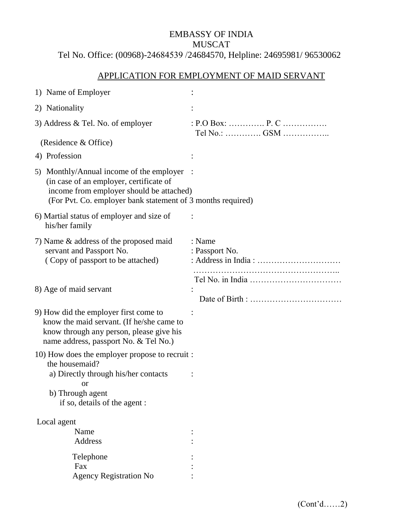# EMBASSY OF INDIA MUSCAT Tel No. Office: (00968)-24684539 /24684570, Helpline: 24695981/ 96530062

# APPLICATION FOR EMPLOYMENT OF MAID SERVANT

| 1) Name of Employer                                                                                                                                                                            |                                     |
|------------------------------------------------------------------------------------------------------------------------------------------------------------------------------------------------|-------------------------------------|
| 2) Nationality                                                                                                                                                                                 |                                     |
| 3) Address $&$ Tel. No. of employer                                                                                                                                                            | : $P.O Box:$ $P.C$<br>Tel No.:  GSM |
| (Residence & Office)                                                                                                                                                                           |                                     |
| 4) Profession                                                                                                                                                                                  |                                     |
| 5) Monthly/Annual income of the employer<br>(in case of an employer, certificate of<br>income from employer should be attached)<br>(For Pvt. Co. employer bank statement of 3 months required) |                                     |
| 6) Martial status of employer and size of<br>his/her family                                                                                                                                    |                                     |
| 7) Name & address of the proposed maid<br>servant and Passport No.<br>(Copy of passport to be attached)                                                                                        | : Name<br>: Passport No.            |
| 8) Age of maid servant                                                                                                                                                                         |                                     |
| 9) How did the employer first come to<br>know the maid servant. (If he/she came to<br>know through any person, please give his<br>name address, passport No. & Tel No.)                        |                                     |
| 10) How does the employer propose to recruit :<br>the housemaid?                                                                                                                               |                                     |
| a) Directly through his/her contacts<br><b>or</b>                                                                                                                                              |                                     |
| b) Through agent<br>if so, details of the agent :                                                                                                                                              |                                     |
| Local agent                                                                                                                                                                                    |                                     |
| Name                                                                                                                                                                                           |                                     |
| Address                                                                                                                                                                                        |                                     |
| Telephone                                                                                                                                                                                      |                                     |
| Fax                                                                                                                                                                                            |                                     |
| <b>Agency Registration No</b>                                                                                                                                                                  |                                     |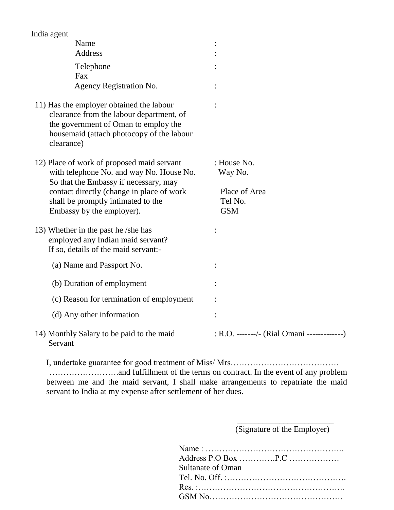| India agent                                                                                                                                                                                                                                     |                                                                  |
|-------------------------------------------------------------------------------------------------------------------------------------------------------------------------------------------------------------------------------------------------|------------------------------------------------------------------|
| Name                                                                                                                                                                                                                                            |                                                                  |
| Address                                                                                                                                                                                                                                         |                                                                  |
| Telephone                                                                                                                                                                                                                                       |                                                                  |
| Fax                                                                                                                                                                                                                                             |                                                                  |
| Agency Registration No.                                                                                                                                                                                                                         |                                                                  |
| 11) Has the employer obtained the labour<br>clearance from the labour department, of<br>the government of Oman to employ the<br>housemaid (attach photocopy of the labour<br>clearance)                                                         |                                                                  |
| 12) Place of work of proposed maid servant<br>with telephone No. and way No. House No.<br>So that the Embassy if necessary, may<br>contact directly (change in place of work<br>shall be promptly intimated to the<br>Embassy by the employer). | : House No.<br>Way No.<br>Place of Area<br>Tel No.<br><b>GSM</b> |
| 13) Whether in the past he /she has<br>employed any Indian maid servant?<br>If so, details of the maid servant:-                                                                                                                                |                                                                  |
| (a) Name and Passport No.                                                                                                                                                                                                                       |                                                                  |
| (b) Duration of employment                                                                                                                                                                                                                      |                                                                  |
| (c) Reason for termination of employment                                                                                                                                                                                                        |                                                                  |
| (d) Any other information                                                                                                                                                                                                                       |                                                                  |
| 14) Monthly Salary to be paid to the maid<br>Servant                                                                                                                                                                                            | : R.O. -------/- (Rial Omani -----------                         |

I, undertake guarantee for good treatment of Miss/ Mrs………………………………… …………………….and fulfillment of the terms on contract. In the event of any problem between me and the maid servant, I shall make arrangements to repatriate the maid servant to India at my expense after settlement of her dues.

 $\overline{\phantom{a}}$  , and the contract of the contract of the contract of the contract of the contract of the contract of the contract of the contract of the contract of the contract of the contract of the contract of the contrac

(Signature of the Employer)

| Sultanate of Oman |
|-------------------|
|                   |
|                   |
|                   |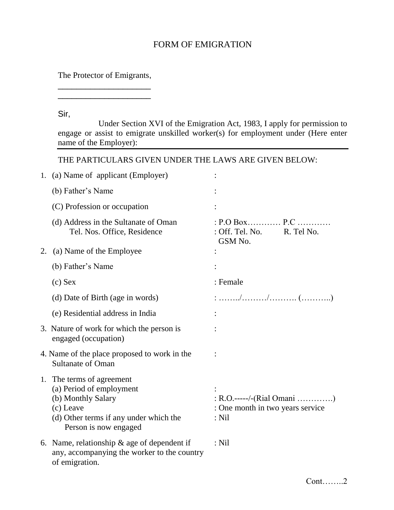## FORM OF EMIGRATION

The Protector of Emigrants, \_\_\_\_\_\_\_\_\_\_\_\_\_\_\_\_\_\_\_\_

\_\_\_\_\_\_\_\_\_\_\_\_\_\_\_\_\_\_\_\_

#### Sir,

Under Section XVI of the Emigration Act, 1983, I apply for permission to engage or assist to emigrate unskilled worker(s) for employment under (Here enter name of the Employer):

THE PARTICULARS GIVEN UNDER THE LAWS ARE GIVEN BELOW:

|    | 1. (a) Name of applicant (Employer)                                                                                                                         |                                                                           |
|----|-------------------------------------------------------------------------------------------------------------------------------------------------------------|---------------------------------------------------------------------------|
|    | (b) Father's Name                                                                                                                                           |                                                                           |
|    | (C) Profession or occupation                                                                                                                                |                                                                           |
|    | (d) Address in the Sultanate of Oman<br>Tel. Nos. Office, Residence                                                                                         | $: P.O B$ ox $P.C$<br>: Off. Tel. No. R. Tel No.<br>GSM No.               |
| 2. | (a) Name of the Employee                                                                                                                                    |                                                                           |
|    | (b) Father's Name                                                                                                                                           |                                                                           |
|    | $(c)$ Sex                                                                                                                                                   | : Female                                                                  |
|    | (d) Date of Birth (age in words)                                                                                                                            |                                                                           |
|    | (e) Residential address in India                                                                                                                            |                                                                           |
|    | 3. Nature of work for which the person is<br>engaged (occupation)                                                                                           |                                                                           |
|    | 4. Name of the place proposed to work in the<br><b>Sultanate of Oman</b>                                                                                    |                                                                           |
|    | 1. The terms of agreement<br>(a) Period of employment<br>(b) Monthly Salary<br>(c) Leave<br>(d) Other terms if any under which the<br>Person is now engaged | : R.O.-----/-(Rial Omani )<br>: One month in two years service<br>$:$ Nil |
|    | 6. Name, relationship $\&$ age of dependent if<br>any, accompanying the worker to the country<br>of emigration.                                             | $:$ Nil                                                                   |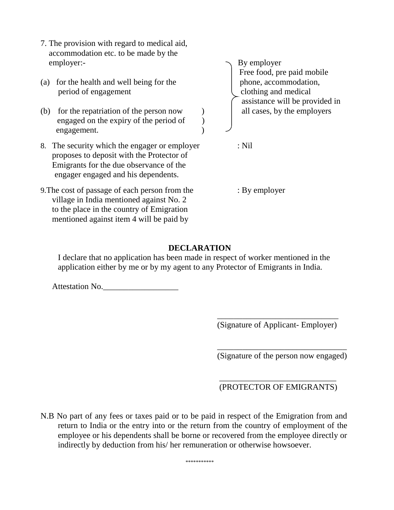- 7. The provision with regard to medical aid, accommodation etc. to be made by the employer:-  $\qquad \qquad$  By employer
- (a) for the health and well being for the period of engagement clothing and medical accommodation, and medical accommodation,  $\Box$ 
	- (b) for the repatriation of the person now ) all cases, by the employers engaged on the expiry of the period of  $\qquad$ ) engagement. )
	- 8. The security which the engager or employer : Nil proposes to deposit with the Protector of Emigrants for the due observance of the engager engaged and his dependents.
	- 9. The cost of passage of each person from the : By employer village in India mentioned against No. 2 to the place in the country of Emigration mentioned against item 4 will be paid by

Free food, pre paid mobile assistance will be provided in

#### **DECLARATION**

I declare that no application has been made in respect of worker mentioned in the application either by me or by my agent to any Protector of Emigrants in India.

 $\overline{\phantom{a}}$  , and the contract of the contract of the contract of the contract of the contract of the contract of the contract of the contract of the contract of the contract of the contract of the contract of the contrac

 $\overline{\phantom{a}}$  , and the contract of the contract of the contract of the contract of the contract of the contract of the contract of the contract of the contract of the contract of the contract of the contract of the contrac

Attestation No.

(Signature of Applicant- Employer)

(Signature of the person now engaged)

(PROTECTOR OF EMIGRANTS)

N.B No part of any fees or taxes paid or to be paid in respect of the Emigration from and return to India or the entry into or the return from the country of employment of the employee or his dependents shall be borne or recovered from the employee directly or indirectly by deduction from his/ her remuneration or otherwise howsoever.

 $\overline{\phantom{a}}$  , and the contract of the contract of the contract of the contract of the contract of the contract of the contract of the contract of the contract of the contract of the contract of the contract of the contrac

\*\*\*\*\*\*\*\*\*\*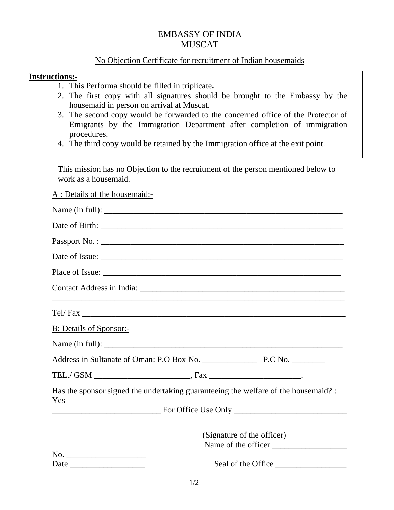### EMBASSY OF INDIA MUSCAT

#### No Objection Certificate for recruitment of Indian housemaids

#### **Instructions:-**

- 1. This Performa should be filled in triplicate**.**
- 2. The first copy with all signatures should be brought to the Embassy by the housemaid in person on arrival at Muscat.
- 3. The second copy would be forwarded to the concerned office of the Protector of Emigrants by the Immigration Department after completion of immigration procedures.
- 4. The third copy would be retained by the Immigration office at the exit point.

This mission has no Objection to the recruitment of the person mentioned below to work as a housemaid.

A : Details of the housemaid:-

| Place of Issue:                                                                            |
|--------------------------------------------------------------------------------------------|
|                                                                                            |
|                                                                                            |
| <b>B: Details of Sponsor:-</b>                                                             |
|                                                                                            |
|                                                                                            |
|                                                                                            |
| Has the sponsor signed the undertaking guaranteeing the welfare of the housemaid? :<br>Yes |
|                                                                                            |
| (Signature of the officer)<br>Name of the officer                                          |
| Date                                                                                       |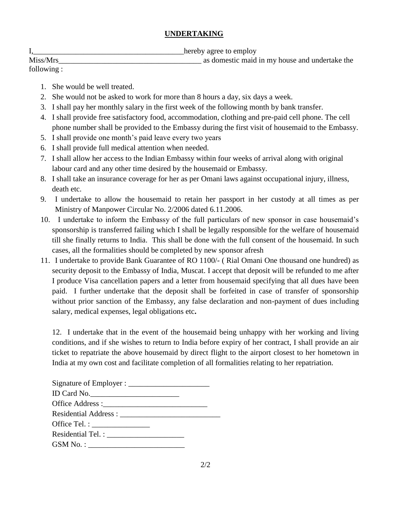#### **UNDERTAKING**

|  |  | hereby agree to employ |
|--|--|------------------------|
|  |  |                        |
|  |  |                        |

| Miss/Mrs   | as domestic maid in my house and undertake the |
|------------|------------------------------------------------|
| following: |                                                |

- 1. She would be well treated.
- 2. She would not be asked to work for more than 8 hours a day, six days a week.
- 3. I shall pay her monthly salary in the first week of the following month by bank transfer.
- 4. I shall provide free satisfactory food, accommodation, clothing and pre-paid cell phone. The cell phone number shall be provided to the Embassy during the first visit of housemaid to the Embassy.
- 5. I shall provide one month's paid leave every two years
- 6. I shall provide full medical attention when needed.
- 7. I shall allow her access to the Indian Embassy within four weeks of arrival along with original labour card and any other time desired by the housemaid or Embassy.
- 8. I shall take an insurance coverage for her as per Omani laws against occupational injury, illness, death etc.
- 9. I undertake to allow the housemaid to retain her passport in her custody at all times as per Ministry of Manpower Circular No. 2/2006 dated 6.11.2006.
- 10. I undertake to inform the Embassy of the full particulars of new sponsor in case housemaid's sponsorship is transferred failing which I shall be legally responsible for the welfare of housemaid till she finally returns to India. This shall be done with the full consent of the housemaid. In such cases, all the formalities should be completed by new sponsor afresh
- 11. I undertake to provide Bank Guarantee of RO 1100/- ( Rial Omani One thousand one hundred) as security deposit to the Embassy of India, Muscat. I accept that deposit will be refunded to me after I produce Visa cancellation papers and a letter from housemaid specifying that all dues have been paid. I further undertake that the deposit shall be forfeited in case of transfer of sponsorship without prior sanction of the Embassy, any false declaration and non-payment of dues including salary, medical expenses, legal obligations etc**.**

12. I undertake that in the event of the housemaid being unhappy with her working and living conditions, and if she wishes to return to India before expiry of her contract, I shall provide an air ticket to repatriate the above housemaid by direct flight to the airport closest to her hometown in India at my own cost and facilitate completion of all formalities relating to her repatriation.

2/2

| ID Card No.        |  |
|--------------------|--|
|                    |  |
|                    |  |
| Office Tel. : $\_$ |  |
|                    |  |
|                    |  |
|                    |  |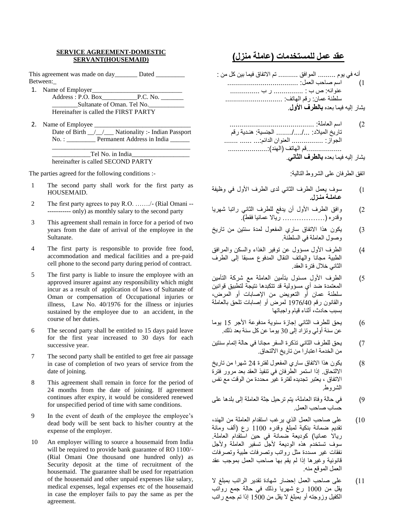#### **SERVICE AGREEMENT-DOMESTIC SERVANT(HOUSEMAID)**

This agreement was made on day\_\_\_\_\_\_\_ Dated \_\_\_\_\_\_\_\_\_ Between:\_

1. Name of Employer

| Address: P.O. Box                     | P.C. No. |
|---------------------------------------|----------|
| Sultanate of Oman. Tel No.            |          |
| Hereinafter is called the FIRST PARTY |          |

2. Name of Employee \_\_\_\_\_\_\_\_\_\_\_\_\_\_\_\_\_\_\_\_\_\_\_\_\_\_\_\_\_\_ Date of Birth <u>/ /</u> Nationality :- Indian Passport No. : \_\_\_\_\_\_\_\_\_\_\_ Permanent Address in India \_\_\_\_\_\_\_

| Tel No. in India                   |  |
|------------------------------------|--|
| hereinafter is called SECOND PARTY |  |

The parties agreed for the following conditions :-

- 1 The second party shall work for the first party as HOUSEMAID.
- 2 The first party agrees to pay R.O. ……./- (Rial Omani -- ----------- only) as monthly salary to the second party
- 3 This agreement shall remain in force for a period of two years from the date of arrival of the employee in the Sultanate.
- 4 The first party is responsible to provide free food, accommodation and medical facilities and a pre-paid cell phone to the second party during period of contract.
- 5 The first party is liable to insure the employee with an approved insurer against any responsibility which might incur as a result of application of laws of Sultanate of Oman or compensation of Occupational injuries or illness, Law No. 40/1976 for the illness or injuries sustained by the employee due to an accident, in the course of her duties.
- 6 The second party shall be entitled to 15 days paid leave for the first year increased to 30 days for each successive year.
- 7 The second party shall be entitled to get free air passage in case of completion of two years of service from the date of joining.
- 8 This agreement shall remain in force for the period of 24 months from the date of joining. If agreement continues after expiry, it would be considered renewed for unspecified period of time with same conditions.
- 9 In the event of death of the employee the employee's dead body will be sent back to his/her country at the expense of the employer.
- 10 An employer willing to source a housemaid from India will be required to provide bank guarantee of RO 1100/- (Rial Omani One thousand one hundred only) as Security deposit at the time of recruitment of the housemaid. The guarantee shall be used for repatriation of the housemaid and other unpaid expenses like salary, medical expenses, legal expenses etc of the housemaid in case the employer fails to pay the same as per the agreement.

#### **عقد عمل للمستخدمات )عاملة منزل(**

- أنه في يوم ......... الموافق .......... تم االتفاق فيما بين كل من : 1( اسم صاحب العمل: .................................... عنوانه: ص ب : ............... ر ب ............... سلطنة عمان: رقم الهاتف: ............................. يشار إليه فيما بعده **بالطرف األول**.
	- 2( اسم العاملة: ........................................... تاريخ الميالد: ......../..../... الجنسية: هنـدية رقم الجواز: ................ العنوان الدائم:... ....... ........ ..................قم الهاتف )الهند(....................: يشار إليه فيما بعده **بالطرف الثاني**.

اتفق الطرفان على الشروط التالية:

- 1( سوف يعمل الطرف الثاني لدى الطرف األول في وظيفة **عـاملـة منـزل.**
- 2) وافق الطرف الأول أن يدفع للطرف الثاني راتبا شهريا وَقَدَرَه (................... ريالا عَمّانيا فقط)ّ.
- 3) يكون هذا الاتفاق ساري المفعول لمدة سنتين من تاريخ وصول العاملة في السلطنة.
- 4) الطرف الأول مسؤول عن توفير الغذاء والسكن والمرافق الطبية مجانا والهاتف النقال المدفوع مسبقا إلى الطرف الثاني خالل فترة العقد.
- 5) الطرف الأول مسئول بتأمين العاملة مع شركة التأمين المعتمدة ضد أي مسؤولية قد تتكبدها نتيجة لتطبيق قوانين سلطنة عمان أو التعويض من اإلصابات أو المرض، والقانون رقم 1976/40 لمرض أو إصابات تلحق بالعاملة بسبب حادث، أثناء قيام واجباتها
- 6) يحق للطرف الثاني إجازة سنوية مدفوعة الأجر 15 يوما عن سنة أولي وتزاد إلى 30 يوما عن كل سنة بعد ذلك.
- 7( يحق للطرف الثاني تذكرة السفر مجانا في حالة إتمام سنتين من الخدمة اعتبارا من تاريخ االلتحاق.
- 8) يكون هذا الاتفاق ساري المفعول لفترة 24 شهرا من تاريخ االلتحاق. إذا استمر الطرفان في تنفيذ العقد بعد مرور فترة االتفاق ، يعتبر تجديده لفترة غير محددة من الوقت مع نفس الشروط.
- 9( في حالة وفاة العاملة، يتم ترحيل جثة العاملة إلى بلدها على حساب صاحب العمل.
- 10( على صاحب العمل الذي يرغب استقدام العاملة من الهند، تقديم ضمانة بنكية لمبلغ وقدره 1100 رع )ألف ومائة رياال عمانيا( كوديعة ضمانة في حين استقدام العاملة. سوف تستخدم هذه الوديعة لأجل تسفير العاملة ولأجل نفقات غير مسددة مثل رواتب وتصرفات طبية وتصرفات قانونية وغيرها إذا لم يقم بها صاحب العمل بموجب عقد العمل الموقع منه.
- 11( على صاحب العمل إحضار شهادة تقدير الراتب بمبلغ ال يقل من 1000 رع شهريا وذلك في حالة جمع رواتب الكفيل وزوجته أو بمبلغ ال يقل من 1500 إذا تم جمع راتب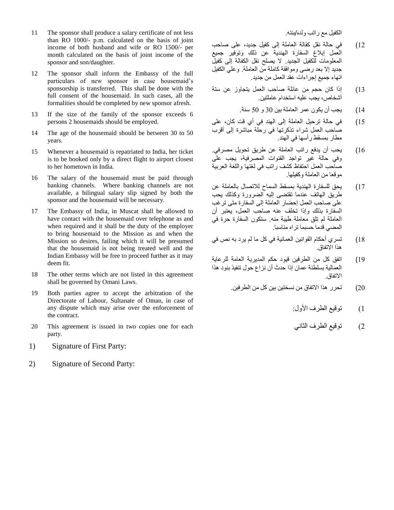- 11 The sponsor shall produce a salary certificate of not less than RO 1000/- p.m. calculated on the basis of joint income of both husband and wife or RO 1500/- per month calculated on the basis of joint income of the sponsor and son/daughter.
- 12 The sponsor shall inform the Embassy of the full particulars of new sponsor in case housemaid's sponsorship is transferred. This shall be done with the full consent of the housemaid. In such cases, all the formalities should be completed by new sponsor afresh.
- 13 If the size of the family of the sponsor exceeds 6 persons 2 housemaids should be employed.
- 14 The age of the housemaid should be between 30 to 50 years.
- 15 Whenever a housemaid is repatriated to India, her ticket is to be booked only by a direct flight to airport closest to her hometown in India.
- 16 The salary of the housemaid must be paid through banking channels. Where banking channels are not available, a bilingual salary slip signed by both the sponsor and the housemaid will be necessary.
- 17 The Embassy of India, in Muscat shall be allowed to have contact with the housemaid over telephone as and when required and it shall be the duty of the employer to bring housemaid to the Mission as and when the Mission so desires, failing which it will be presumed that the housemaid is not being treated well and the Indian Embassy will be free to proceed further as it may deem fit.
- 18 The other terms which are not listed in this agreement shall be governed by Omani Laws.
- 19 Both parties agree to accept the arbitration of the Directorate of Labour, Sultanate of Oman, in case of any dispute which may arise over the enforcement of the contract.
- 20 This agreement is issued in two copies one for each party.
- 1) Signature of First Party:
- 2) Signature of Second Party:

الكفيل مع راتب ولده/بنته.

- 12( في حالة نقل كفالة العاملة إلى كفيل جديد، على صاحب العمل إبالغ السفارة الهندية عن ذلك وتوفير جميع المعلومات للكفيل الجديد. ال يصلح نقل الكفالة إلى كفيل جديد إال بعد رضى وموافقة كاملة من العاملة. وعلي الكفيل انهاء جميع إجراءات عقد العمل من جديد.
- 13( إذا كان حجم من عائلة صاحب العمل يتجاوز عن ستة أشخاص، يجب عليه استخدام عاملتين.
	- 14( يجب أن يكون عمر العاملة بين 30 و 50 سنة.
- 15( في حالة ترحيل العاملة إلى الهند في أي قت كان، على صاحب العمل شراء تذكرتها في رحلة مباشرة إلى أقرب مطار بمسقط رأسها في الهند.
- 16( يحب أن يدفع راتب العاملة عن طريق تحويل مصرفي. وفي حالة غير تواجد القنوات المصرفية، يجب على صاحب العمل احتفاظ كشف راتب في لغتها واللغة العربية موقعا من العاملة وكفيلها.
- 17( يحق للسفارة الهندية بمسقط السماح لالتصال بالعاملة عن طريق الهاتف عندما تقتضى إليه الضرورة وكذلك يحب على صاحب العمل إحضار العاملة إلى السفارة متى ترغب السفارة بذلك وإذا تخلف عنه صاحب العمل، يعتبر أن العاملة لم تلق معاملة طيبة منه. ستكون السفارة حرة في المضي قدما حسبما تراه مناسبا.
- 18( تسري أحكام القوانين العمانية في كل ما لم يرد به نص في هذا االتفاق.
- 19( اتفق كل من الطرفين قيود حكم المديرية العامة للرعاية العمالية بسلطنة عمان إذا حدث أن نزاع حول تنفيذ بنود هذا االتفاق.
	- 20( تحرر هذا االتفاق من نسختين بين كل من الطرفين.
		- 1( توقيع الطرف األول:
		- 2( توقيع الطرف الثاني